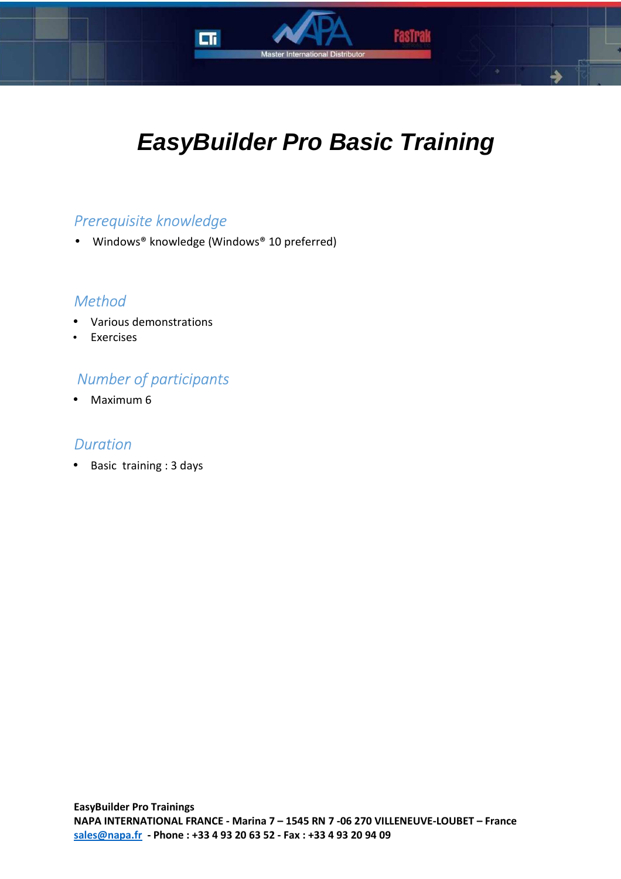

# **EasyBuilder Pro Basic Training**

## *Prerequisite knowledge*

• Windows® knowledge (Windows® 10 preferred)

## *Method*

- Various demonstrations
- **Exercises**

## *Number of participants*

• Maximum 6

### *Duration*

• Basic training : 3 days